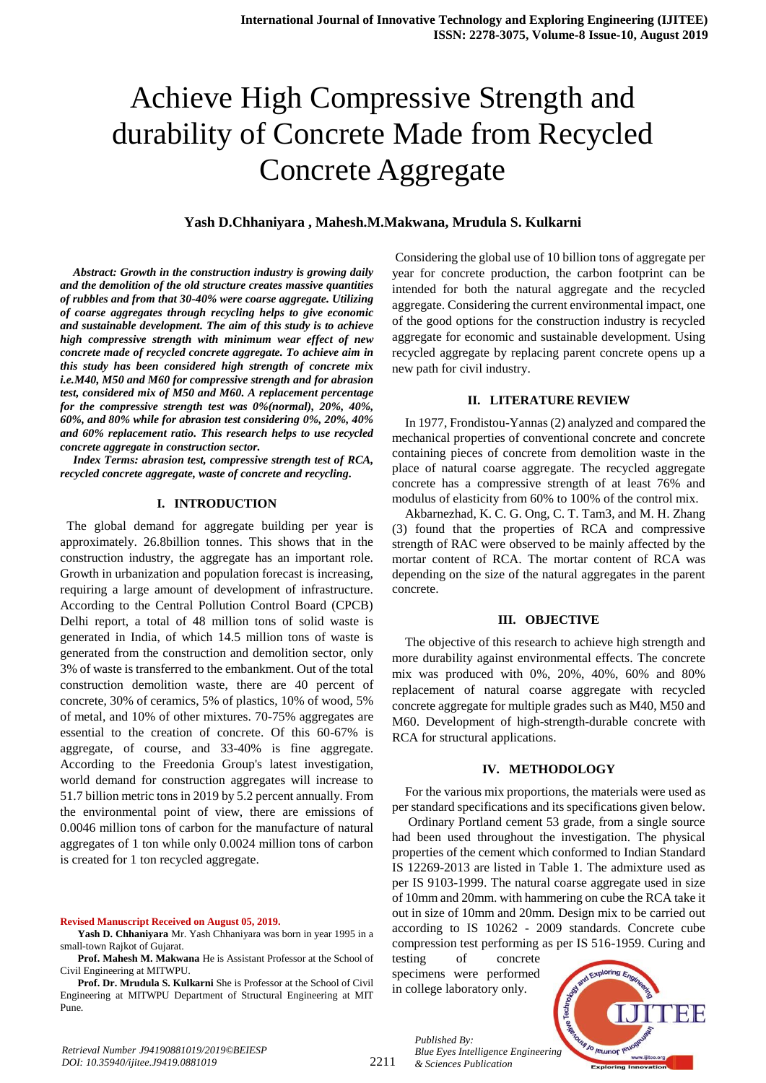# Achieve High Compressive Strength and durability of Concrete Made from Recycled Concrete Aggregate

#### **Yash D.Chhaniyara , Mahesh.M.Makwana, Mrudula S. Kulkarni**

*Abstract: Growth in the construction industry is growing daily and the demolition of the old structure creates massive quantities of rubbles and from that 30-40% were coarse aggregate. Utilizing of coarse aggregates through recycling helps to give economic and sustainable development. The aim of this study is to achieve high compressive strength with minimum wear effect of new concrete made of recycled concrete aggregate. To achieve aim in this study has been considered high strength of concrete mix i.e.M40, M50 and M60 for compressive strength and for abrasion test, considered mix of M50 and M60. A replacement percentage for the compressive strength test was 0%(normal), 20%, 40%, 60%, and 80% while for abrasion test considering 0%, 20%, 40% and 60% replacement ratio. This research helps to use recycled concrete aggregate in construction sector.*

*Index Terms: abrasion test, compressive strength test of RCA, recycled concrete aggregate, waste of concrete and recycling.* 

## **I. INTRODUCTION**

 The global demand for aggregate building per year is approximately. 26.8billion tonnes. This shows that in the construction industry, the aggregate has an important role. Growth in urbanization and population forecast is increasing, requiring a large amount of development of infrastructure. According to the Central Pollution Control Board (CPCB) Delhi report, a total of 48 million tons of solid waste is generated in India, of which 14.5 million tons of waste is generated from the construction and demolition sector, only 3% of waste is transferred to the embankment. Out of the total construction demolition waste, there are 40 percent of concrete, 30% of ceramics, 5% of plastics, 10% of wood, 5% of metal, and 10% of other mixtures. 70-75% aggregates are essential to the creation of concrete. Of this 60-67% is aggregate, of course, and 33-40% is fine aggregate. According to the Freedonia Group's latest investigation, world demand for construction aggregates will increase to 51.7 billion metric tons in 2019 by 5.2 percent annually. From the environmental point of view, there are emissions of 0.0046 million tons of carbon for the manufacture of natural aggregates of 1 ton while only 0.0024 million tons of carbon is created for 1 ton recycled aggregate.

**Revised Manuscript Received on August 05, 2019.**

**Yash D. Chhaniyara** Mr. Yash Chhaniyara was born in year 1995 in a small-town Rajkot of Gujarat.

**Prof. Mahesh M. Makwana** He is Assistant Professor at the School of Civil Engineering at MITWPU.

**Prof. Dr. Mrudula S. Kulkarni** She is Professor at the School of Civil Engineering at MITWPU Department of Structural Engineering at MIT Pune.

Considering the global use of 10 billion tons of aggregate per year for concrete production, the carbon footprint can be intended for both the natural aggregate and the recycled aggregate. Considering the current environmental impact, one of the good options for the construction industry is recycled aggregate for economic and sustainable development. Using recycled aggregate by replacing parent concrete opens up a new path for civil industry.

#### **II. LITERATURE REVIEW**

In 1977, Frondistou-Yannas(2) analyzed and compared the mechanical properties of conventional concrete and concrete containing pieces of concrete from demolition waste in the place of natural coarse aggregate. The recycled aggregate concrete has a compressive strength of at least 76% and modulus of elasticity from 60% to 100% of the control mix.

Akbarnezhad, K. C. G. Ong, C. T. Tam3, and M. H. Zhang (3) found that the properties of RCA and compressive strength of RAC were observed to be mainly affected by the mortar content of RCA. The mortar content of RCA was depending on the size of the natural aggregates in the parent concrete.

#### **III. OBJECTIVE**

The objective of this research to achieve high strength and more durability against environmental effects. The concrete mix was produced with 0%, 20%, 40%, 60% and 80% replacement of natural coarse aggregate with recycled concrete aggregate for multiple grades such as M40, M50 and M60. Development of high-strength-durable concrete with RCA for structural applications.

#### **IV. METHODOLOGY**

For the various mix proportions, the materials were used as per standard specifications and its specifications given below.

Ordinary Portland cement 53 grade, from a single source had been used throughout the investigation. The physical properties of the cement which conformed to Indian Standard IS 12269-2013 are listed in Table 1. The admixture used as per IS 9103-1999. The natural coarse aggregate used in size of 10mm and 20mm. with hammering on cube the RCA take it out in size of 10mm and 20mm. Design mix to be carried out according to IS 10262 - 2009 standards. Concrete cube compression test performing as per IS 516-1959. Curing and

testing of concrete specimens were performed in college laboratory only.

*& Sciences Publication* 

*Published By:*

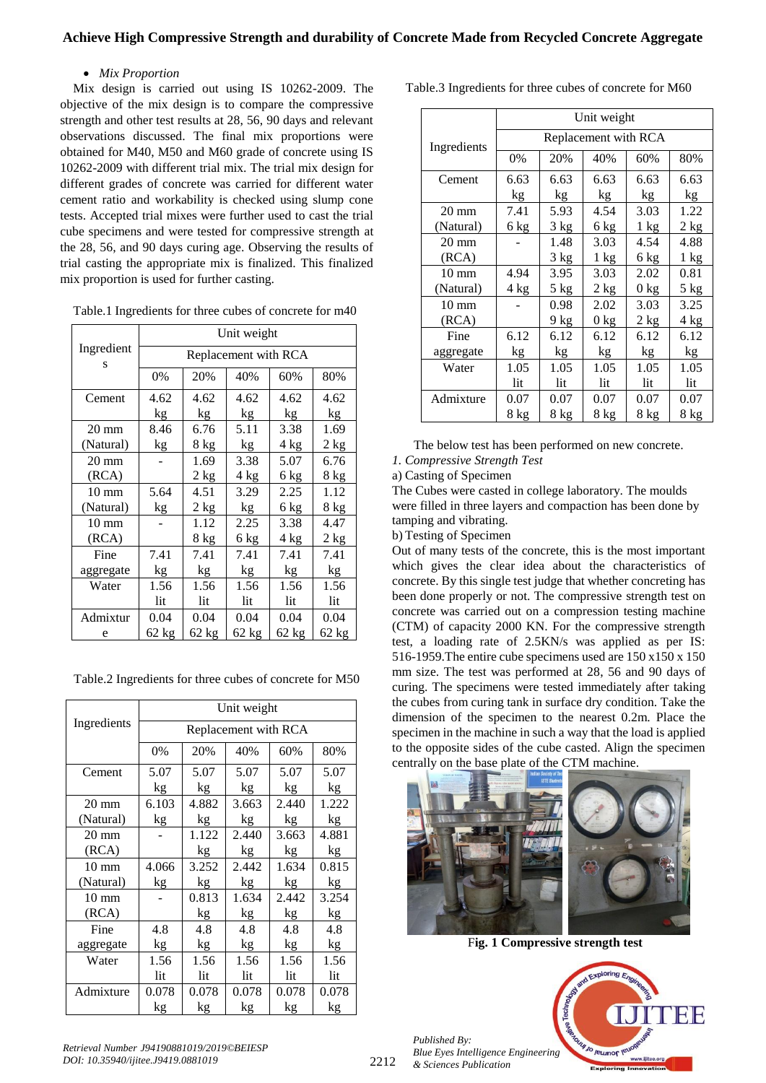## *Mix Proportion*

Mix design is carried out using IS 10262-2009. The objective of the mix design is to compare the compressive strength and other test results at 28, 56, 90 days and relevant observations discussed. The final mix proportions were obtained for M40, M50 and M60 grade of concrete using IS 10262-2009 with different trial mix. The trial mix design for different grades of concrete was carried for different water cement ratio and workability is checked using slump cone tests. Accepted trial mixes were further used to cast the trial cube specimens and were tested for compressive strength at the 28, 56, and 90 days curing age. Observing the results of trial casting the appropriate mix is finalized. This finalized mix proportion is used for further casting.

| Table.1 Ingredients for three cubes of concrete for m40 |  |
|---------------------------------------------------------|--|
|---------------------------------------------------------|--|

|                 | Unit weight          |                                  |      |      |      |  |  |  |  |  |
|-----------------|----------------------|----------------------------------|------|------|------|--|--|--|--|--|
| Ingredient<br>S | Replacement with RCA |                                  |      |      |      |  |  |  |  |  |
|                 | 0%                   | 20%                              | 40%  | 60%  | 80%  |  |  |  |  |  |
| Cement          | 4.62                 | 4.62                             | 4.62 | 4.62 | 4.62 |  |  |  |  |  |
|                 | kg                   | kg                               | kg   | kg   | kg   |  |  |  |  |  |
| $20 \text{ mm}$ | 8.46                 | 6.76                             | 5.11 | 3.38 | 1.69 |  |  |  |  |  |
| (Natural)       | kg                   | 8 kg                             | kg   | 4 kg | 2 kg |  |  |  |  |  |
| $20 \text{ mm}$ |                      | 1.69                             | 3.38 | 5.07 | 6.76 |  |  |  |  |  |
| (RCA)           |                      | 2 kg                             | 4 kg | 6 kg | 8 kg |  |  |  |  |  |
| $10 \text{ mm}$ | 5.64                 | 4.51                             | 3.29 | 2.25 | 1.12 |  |  |  |  |  |
| (Natural)       | $k_{\underline{g}}$  | 2 kg                             | kg   | 6 kg | 8 kg |  |  |  |  |  |
| $10 \text{ mm}$ |                      | 1.12                             | 2.25 | 3.38 | 4.47 |  |  |  |  |  |
| (RCA)           |                      | 8 kg                             | 6 kg | 4 kg | 2 kg |  |  |  |  |  |
| Fine            | 7.41                 | 7.41                             | 7.41 | 7.41 | 7.41 |  |  |  |  |  |
| aggregate       | kg                   | kg                               | kg   | kg   | kg   |  |  |  |  |  |
| Water           | 1.56                 | 1.56                             | 1.56 | 1.56 | 1.56 |  |  |  |  |  |
|                 | lit                  | lit                              | lit  | lit  | lit  |  |  |  |  |  |
| Admixtur        | 0.04                 | 0.04                             | 0.04 | 0.04 | 0.04 |  |  |  |  |  |
| e               | $62$ kg              | 62 kg<br>62 kg<br>62 kg<br>62 kg |      |      |      |  |  |  |  |  |

Table.2 Ingredients for three cubes of concrete for M50

|                 | Unit weight          |                   |       |       |       |  |  |  |
|-----------------|----------------------|-------------------|-------|-------|-------|--|--|--|
| Ingredients     | Replacement with RCA |                   |       |       |       |  |  |  |
|                 | 0%                   | 20%<br>40%<br>60% |       |       |       |  |  |  |
| Cement          | 5.07                 | 5.07              | 5.07  | 5.07  | 5.07  |  |  |  |
|                 | kg                   | kg                | kg    | kg    | kg    |  |  |  |
| $20 \text{ mm}$ | 6.103                | 4.882             | 3.663 | 2.440 | 1.222 |  |  |  |
| (Natural)       | kg                   | kg                | kg    | kg    | kg    |  |  |  |
| $20 \text{ mm}$ |                      | 1.122             | 2.440 | 3.663 | 4.881 |  |  |  |
| (RCA)           |                      | kg                | kg    | kg    | kg    |  |  |  |
| $10 \text{ mm}$ | 4.066                | 3.252             | 2.442 | 1.634 | 0.815 |  |  |  |
| (Natural)       | kg                   | kg                | kg    | kg    | kg    |  |  |  |
| $10 \text{ mm}$ |                      | 0.813             | 1.634 | 2.442 | 3.254 |  |  |  |
| (RCA)           |                      | kg                | kg    | kg    | kg    |  |  |  |
| Fine            | 4.8                  | 4.8               | 4.8   | 4.8   | 4.8   |  |  |  |
| aggregate       | kg                   | kg                | kg    | kg    | kg    |  |  |  |
| Water           | 1.56                 | 1.56              | 1.56  | 1.56  | 1.56  |  |  |  |
|                 | lit                  | lit               | lit   | lit   | lit   |  |  |  |
| Admixture       | 0.078                | 0.078             | 0.078 | 0.078 | 0.078 |  |  |  |
|                 | kg                   | kg                | kg    | kg    | kg    |  |  |  |

Table.3 Ingredients for three cubes of concrete for M60

|                 | Unit weight          |        |                 |                |                |  |  |  |
|-----------------|----------------------|--------|-----------------|----------------|----------------|--|--|--|
| Ingredients     | Replacement with RCA |        |                 |                |                |  |  |  |
|                 | 0%                   | 20%    | 40%             | 60%            | 80%            |  |  |  |
| Cement          | 6.63                 | 6.63   | 6.63            | 6.63           | 6.63           |  |  |  |
|                 | kg                   | kg     | kg              | kg             | kg             |  |  |  |
| $20 \text{ mm}$ | 7.41                 | 5.93   | 4.54            | 3.03           | 1.22           |  |  |  |
| (Natural)       | 6 kg                 | 3 kg   | 6 kg            | $1 \text{ kg}$ | 2 kg           |  |  |  |
| $20 \text{ mm}$ |                      | 1.48   | 3.03            | 4.54           | 4.88           |  |  |  |
| (RCA)           |                      | 3 kg   | $1 \text{ kg}$  | 6 kg           | $1 \text{ kg}$ |  |  |  |
| $10 \text{ mm}$ | 4.94                 | 3.95   | 3.03            | 2.02           | 0.81           |  |  |  |
| (Natural)       | 4 kg                 | $5$ kg | 2 kg            | $0$ kg         | $5$ kg         |  |  |  |
| $10 \text{ mm}$ |                      | 0.98   | 2.02            | 3.03           | 3.25           |  |  |  |
| (RCA)           |                      | 9 kg   | 0 <sub>kg</sub> | 2 kg           | 4 kg           |  |  |  |
| Fine            | 6.12                 | 6.12   | 6.12            | 6.12           | 6.12           |  |  |  |
| aggregate       | kg                   | kg     | kg              | kg             | kg             |  |  |  |
| Water           | 1.05                 | 1.05   | 1.05            | 1.05           | 1.05           |  |  |  |
|                 | lit                  | lit    | lit             | lit            | lit            |  |  |  |
| Admixture       | 0.07                 | 0.07   | 0.07            | 0.07           | 0.07           |  |  |  |
|                 | 8 kg                 | 8 kg   | 8 kg            | 8 kg           | 8 kg           |  |  |  |

The below test has been performed on new concrete.

#### *1. Compressive Strength Test*

a) Casting of Specimen

The Cubes were casted in college laboratory. The moulds were filled in three layers and compaction has been done by tamping and vibrating.

b) Testing of Specimen

Out of many tests of the concrete, this is the most important which gives the clear idea about the characteristics of concrete. By this single test judge that whether concreting has been done properly or not. The compressive strength test on concrete was carried out on a compression testing machine (CTM) of capacity 2000 KN. For the compressive strength test, a loading rate of 2.5KN/s was applied as per IS: 516-1959.The entire cube specimens used are 150 x150 x 150 mm size. The test was performed at 28, 56 and 90 days of curing. The specimens were tested immediately after taking the cubes from curing tank in surface dry condition. Take the dimension of the specimen to the nearest 0.2m. Place the specimen in the machine in such a way that the load is applied to the opposite sides of the cube casted. Align the specimen centrally on the base plate of the CTM machine.



F**ig. 1 Compressive strength test**

Jo reumor le

*Published By: Blue Eyes Intelligence Engineering & Sciences Publication* 

*Retrieval Number J94190881019/2019©BEIESP DOI: 10.35940/ijitee.J9419.0881019*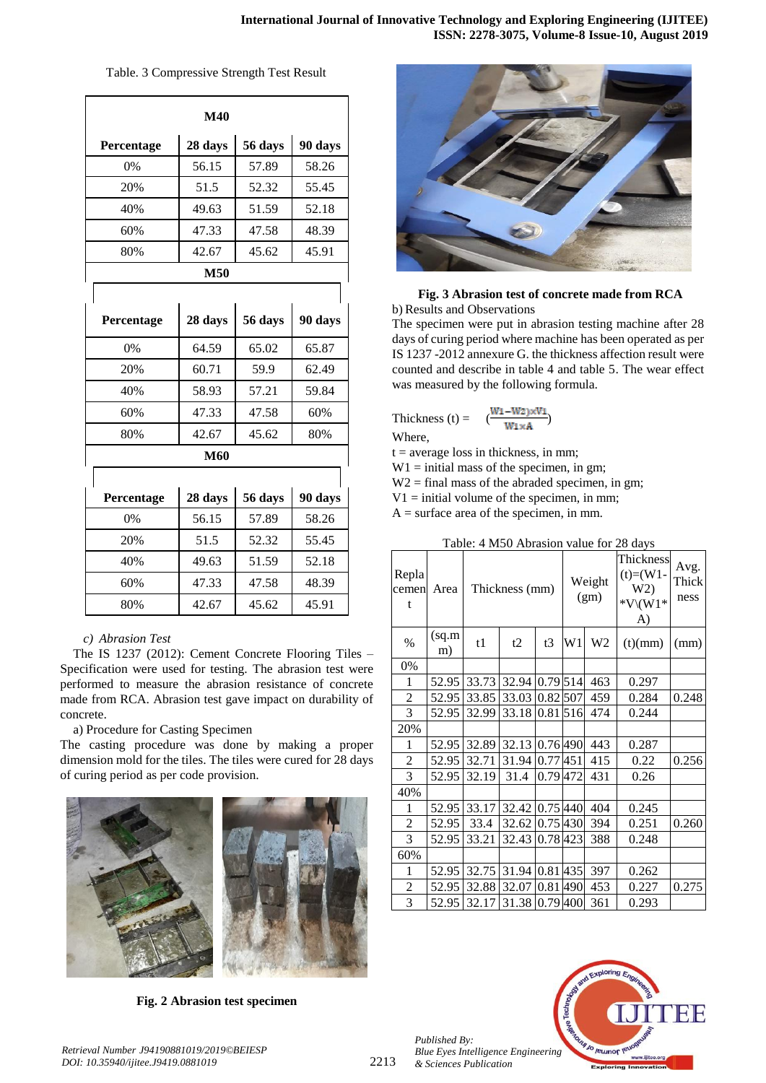| M40        |         |         |         |  |  |  |  |
|------------|---------|---------|---------|--|--|--|--|
| Percentage | 28 days | 56 days | 90 days |  |  |  |  |
| 0%         | 56.15   | 57.89   | 58.26   |  |  |  |  |
| 20%        | 51.5    | 52.32   | 55.45   |  |  |  |  |
| 40%        | 49.63   | 51.59   | 52.18   |  |  |  |  |
| 60%        | 47.33   | 47.58   | 48.39   |  |  |  |  |
| 80%        | 42.67   | 45.62   | 45.91   |  |  |  |  |
|            | M50     |         |         |  |  |  |  |
|            |         |         |         |  |  |  |  |
| Percentage | 28 days | 56 days | 90 days |  |  |  |  |
| 0%         | 64.59   | 65.02   | 65.87   |  |  |  |  |
| 20%        | 60.71   | 59.9    | 62.49   |  |  |  |  |
| 40%        | 58.93   | 57.21   | 59.84   |  |  |  |  |
| 60%        | 47.33   | 47.58   | 60%     |  |  |  |  |
| 80%        | 42.67   | 45.62   | 80%     |  |  |  |  |
|            | M60     |         |         |  |  |  |  |
|            |         |         |         |  |  |  |  |
| Percentage | 28 days | 56 days | 90 days |  |  |  |  |
| 0%         | 56.15   | 57.89   | 58.26   |  |  |  |  |
| 20%        | 51.5    | 52.32   | 55.45   |  |  |  |  |
| 40%        | 49.63   | 51.59   | 52.18   |  |  |  |  |
| 60%        | 47.33   | 47.58   | 48.39   |  |  |  |  |
| 80%        | 42.67   | 45.62   | 45.91   |  |  |  |  |

Table. 3 Compressive Strength Test Result

## *c) Abrasion Test*

The IS 1237 (2012): Cement Concrete Flooring Tiles – Specification were used for testing. The abrasion test were performed to measure the abrasion resistance of concrete made from RCA. Abrasion test gave impact on durability of concrete.

a) Procedure for Casting Specimen

The casting procedure was done by making a proper dimension mold for the tiles. The tiles were cured for 28 days of curing period as per code provision.



**Fig. 2 Abrasion test specimen**



## **Fig. 3 Abrasion test of concrete made from RCA** b) Results and Observations

The specimen were put in abrasion testing machine after 28 days of curing period where machine has been operated as per IS 1237 -2012 annexure G. the thickness affection result were counted and describe in table 4 and table 5. The wear effect was measured by the following formula.

Thickness (t) = 
$$
\frac{(W_1-W_2) \times V_1}{W_1 \times A}
$$

Where,

 $t = average loss in thickness, in mm;$ 

 $W1 =$  initial mass of the specimen, in gm;

 $W2 =$  final mass of the abraded specimen, in gm;

 $V1 =$  initial volume of the specimen, in mm;

 $A =$  surface area of the specimen, in mm.

| Repla<br>cemen<br>t | Area         | Thickness (mm) |                |            | Weight<br>(gm) |                | Thickness<br>$(t)=(W1 -$<br>W2)<br>$*V \setminus (W1*$<br>A) | Avg.<br>Thick<br>ness |
|---------------------|--------------|----------------|----------------|------------|----------------|----------------|--------------------------------------------------------------|-----------------------|
| $\%$                | (sq.m)<br>m) | t1             | t2             | t3         | W1             | W <sub>2</sub> | (t)(mm)                                                      | (mm)                  |
| 0%                  |              |                |                |            |                |                |                                                              |                       |
| 1                   | 52.95        | 33.73          | 32.94          | 0.79 514   |                | 463            | 0.297                                                        |                       |
| $\overline{c}$      | 52.95        | 33.85          | 33.03          | $0.82$ 507 |                | 459            | 0.284                                                        | 0.248                 |
| 3                   | 52.95        | 32.99          | 33.18          | 0.81 516   |                | 474            | 0.244                                                        |                       |
| 20%                 |              |                |                |            |                |                |                                                              |                       |
| 1                   | 52.95        | 32.89          | 32.13          | 0.76 490   |                | 443            | 0.287                                                        |                       |
| $\overline{c}$      | 52.95        | 32.71          | 31.94          | 0.77 451   |                | 415            | 0.22                                                         | 0.256                 |
| 3                   | 52.95        | 32.19          | 31.4           | 0.79 472   |                | 431            | 0.26                                                         |                       |
| 40%                 |              |                |                |            |                |                |                                                              |                       |
| 1                   | 52.95        | 33.17          | 32.42 0.75 440 |            |                | 404            | 0.245                                                        |                       |
| $\overline{c}$      | 52.95        | 33.4           | 32.62          | 0.75 430   |                | 394            | 0.251                                                        | 0.260                 |
| 3                   | 52.95        | 33.21          | 32.43          | 0.78 423   |                | 388            | 0.248                                                        |                       |
| 60%                 |              |                |                |            |                |                |                                                              |                       |
| 1                   | 52.95        | 32.75          | 31.94          | 0.81 435   |                | 397            | 0.262                                                        |                       |
| $\overline{c}$      | 52.95        | 32.88          | 32.07          | 0.81       | 490            | 453            | 0.227                                                        | 0.275                 |
| 3                   | 52.95        | 32.17          | 31.38          | 0.79400    |                | 361            | 0.293                                                        |                       |

## Table: 4 M50 Abrasion value for 28 days

*Published By: Blue Eyes Intelligence Engineering & Sciences Publication*